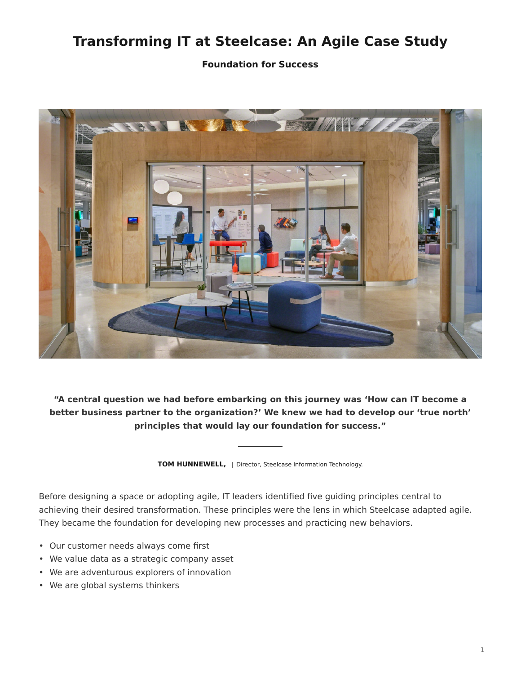# **Transforming IT at Steelcase: An Agile Case Study**

**Foundation for Success**



**"A central question we had before embarking on this journey was 'How can IT become a better business partner to the organization?' We knew we had to develop our 'true north' principles that would lay our foundation for success."**

**TOM HUNNEWELL,** | Director, Steelcase Information Technology.

Before designing a space or adopting agile, IT leaders identified five guiding principles central to achieving their desired transformation. These principles were the lens in which Steelcase adapted agile. They became the foundation for developing new processes and practicing new behaviors.

- Our customer needs always come first
- We value data as a strategic company asset
- We are adventurous explorers of innovation
- We are global systems thinkers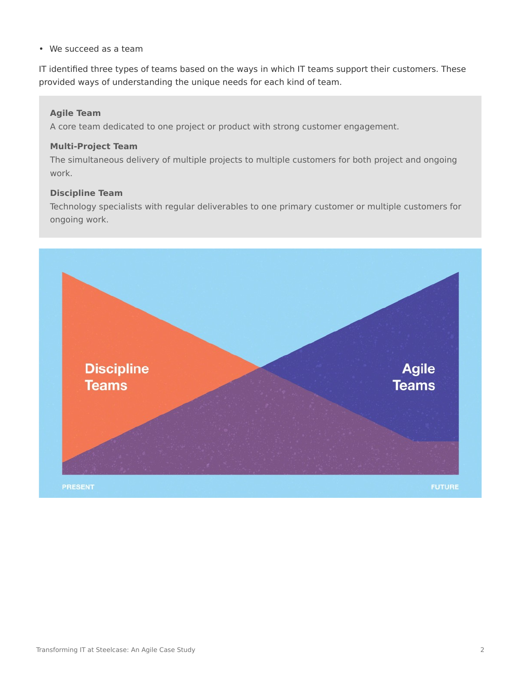• We succeed as a team

IT identified three types of teams based on the ways in which IT teams support their customers. These provided ways of understanding the unique needs for each kind of team.

### **Agile Team**

A core team dedicated to one project or product with strong customer engagement.

### **Multi-Project Team**

The simultaneous delivery of multiple projects to multiple customers for both project and ongoing work.

### **Discipline Team**

Technology specialists with regular deliverables to one primary customer or multiple customers for ongoing work.